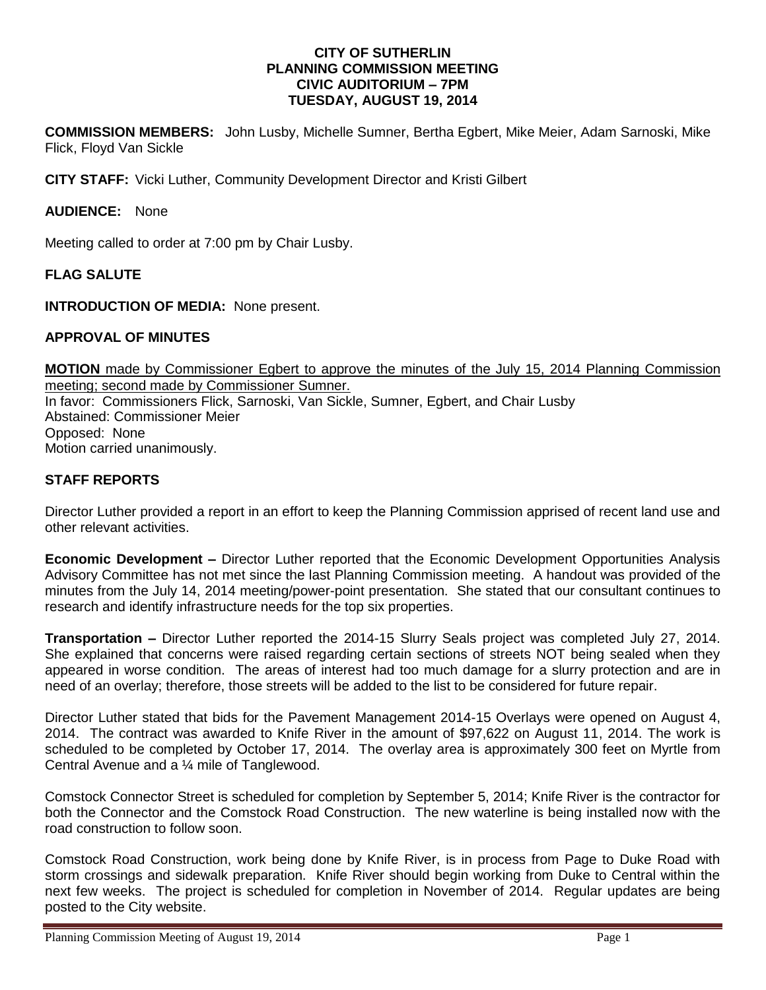#### **CITY OF SUTHERLIN PLANNING COMMISSION MEETING CIVIC AUDITORIUM – 7PM TUESDAY, AUGUST 19, 2014**

**COMMISSION MEMBERS:** John Lusby, Michelle Sumner, Bertha Egbert, Mike Meier, Adam Sarnoski, Mike Flick, Floyd Van Sickle

**CITY STAFF:** Vicki Luther, Community Development Director and Kristi Gilbert

## **AUDIENCE:** None

Meeting called to order at 7:00 pm by Chair Lusby.

#### **FLAG SALUTE**

**INTRODUCTION OF MEDIA:** None present.

#### **APPROVAL OF MINUTES**

**MOTION** made by Commissioner Egbert to approve the minutes of the July 15, 2014 Planning Commission meeting; second made by Commissioner Sumner. In favor: Commissioners Flick, Sarnoski, Van Sickle, Sumner, Egbert, and Chair Lusby Abstained: Commissioner Meier Opposed:None Motion carried unanimously.

## **STAFF REPORTS**

Director Luther provided a report in an effort to keep the Planning Commission apprised of recent land use and other relevant activities.

**Economic Development –** Director Luther reported that the Economic Development Opportunities Analysis Advisory Committee has not met since the last Planning Commission meeting. A handout was provided of the minutes from the July 14, 2014 meeting/power-point presentation. She stated that our consultant continues to research and identify infrastructure needs for the top six properties.

**Transportation –** Director Luther reported the 2014-15 Slurry Seals project was completed July 27, 2014. She explained that concerns were raised regarding certain sections of streets NOT being sealed when they appeared in worse condition. The areas of interest had too much damage for a slurry protection and are in need of an overlay; therefore, those streets will be added to the list to be considered for future repair.

Director Luther stated that bids for the Pavement Management 2014-15 Overlays were opened on August 4, 2014. The contract was awarded to Knife River in the amount of \$97,622 on August 11, 2014. The work is scheduled to be completed by October 17, 2014. The overlay area is approximately 300 feet on Myrtle from Central Avenue and a ¼ mile of Tanglewood.

Comstock Connector Street is scheduled for completion by September 5, 2014; Knife River is the contractor for both the Connector and the Comstock Road Construction. The new waterline is being installed now with the road construction to follow soon.

Comstock Road Construction, work being done by Knife River, is in process from Page to Duke Road with storm crossings and sidewalk preparation. Knife River should begin working from Duke to Central within the next few weeks. The project is scheduled for completion in November of 2014. Regular updates are being posted to the City website.